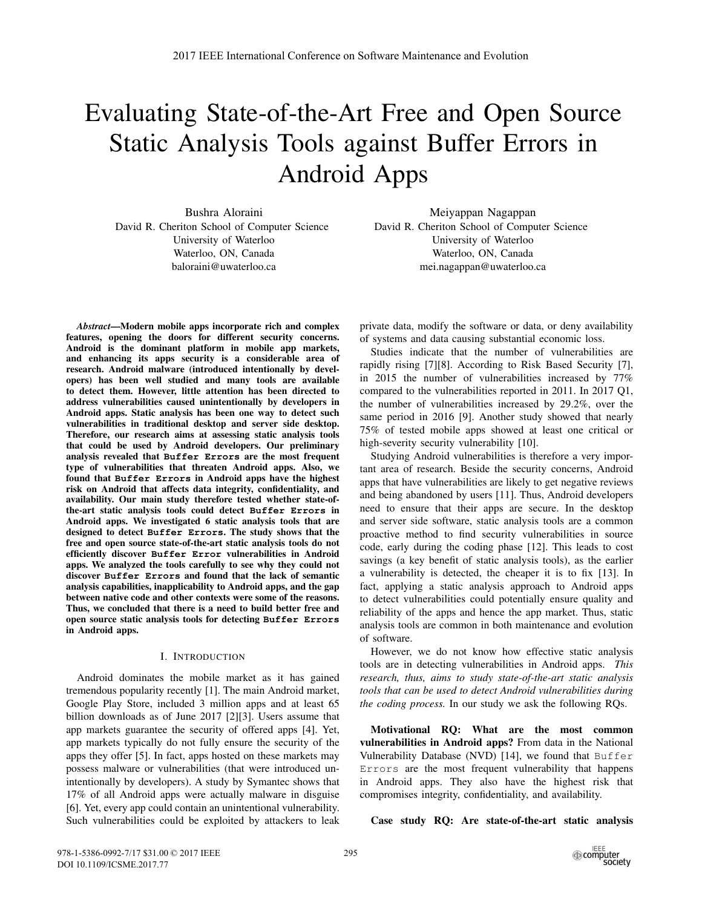# Evaluating State-of-the-Art Free and Open Source Static Analysis Tools against Buffer Errors in Android Apps

Bushra Aloraini David R. Cheriton School of Computer Science University of Waterloo Waterloo, ON, Canada baloraini@uwaterloo.ca

*Abstract*—Modern mobile apps incorporate rich and complex features, opening the doors for different security concerns. Android is the dominant platform in mobile app markets, and enhancing its apps security is a considerable area of research. Android malware (introduced intentionally by developers) has been well studied and many tools are available to detect them. However, little attention has been directed to address vulnerabilities caused unintentionally by developers in Android apps. Static analysis has been one way to detect such vulnerabilities in traditional desktop and server side desktop. Therefore, our research aims at assessing static analysis tools that could be used by Android developers. Our preliminary analysis revealed that **Buffer Errors** are the most frequent type of vulnerabilities that threaten Android apps. Also, we found that **Buffer Errors** in Android apps have the highest risk on Android that affects data integrity, confidentiality, and availability. Our main study therefore tested whether state-ofthe-art static analysis tools could detect **Buffer Errors** in Android apps. We investigated 6 static analysis tools that are designed to detect **Buffer Errors**. The study shows that the free and open source state-of-the-art static analysis tools do not efficiently discover **Buffer Error** vulnerabilities in Android apps. We analyzed the tools carefully to see why they could not discover **Buffer Errors** and found that the lack of semantic analysis capabilities, inapplicability to Android apps, and the gap between native code and other contexts were some of the reasons. Thus, we concluded that there is a need to build better free and open source static analysis tools for detecting **Buffer Errors** in Android apps.

## I. INTRODUCTION

Android dominates the mobile market as it has gained tremendous popularity recently [1]. The main Android market, Google Play Store, included 3 million apps and at least 65 billion downloads as of June 2017 [2][3]. Users assume that app markets guarantee the security of offered apps [4]. Yet, app markets typically do not fully ensure the security of the apps they offer [5]. In fact, apps hosted on these markets may possess malware or vulnerabilities (that were introduced unintentionally by developers). A study by Symantec shows that 17% of all Android apps were actually malware in disguise [6]. Yet, every app could contain an unintentional vulnerability. Such vulnerabilities could be exploited by attackers to leak

Meiyappan Nagappan David R. Cheriton School of Computer Science University of Waterloo Waterloo, ON, Canada mei.nagappan@uwaterloo.ca

private data, modify the software or data, or deny availability of systems and data causing substantial economic loss.

Studies indicate that the number of vulnerabilities are rapidly rising [7][8]. According to Risk Based Security [7], in 2015 the number of vulnerabilities increased by 77% compared to the vulnerabilities reported in 2011. In 2017 Q1, the number of vulnerabilities increased by 29.2%, over the same period in 2016 [9]. Another study showed that nearly 75% of tested mobile apps showed at least one critical or high-severity security vulnerability [10].

Studying Android vulnerabilities is therefore a very important area of research. Beside the security concerns, Android apps that have vulnerabilities are likely to get negative reviews and being abandoned by users [11]. Thus, Android developers need to ensure that their apps are secure. In the desktop and server side software, static analysis tools are a common proactive method to find security vulnerabilities in source code, early during the coding phase [12]. This leads to cost savings (a key benefit of static analysis tools), as the earlier a vulnerability is detected, the cheaper it is to fix [13]. In fact, applying a static analysis approach to Android apps to detect vulnerabilities could potentially ensure quality and reliability of the apps and hence the app market. Thus, static analysis tools are common in both maintenance and evolution of software.

However, we do not know how effective static analysis tools are in detecting vulnerabilities in Android apps. *This research, thus, aims to study state-of-the-art static analysis tools that can be used to detect Android vulnerabilities during the coding process.* In our study we ask the following RQs.

Motivational RQ: What are the most common vulnerabilities in Android apps? From data in the National Vulnerability Database (NVD) [14], we found that Buffer Errors are the most frequent vulnerability that happens in Android apps. They also have the highest risk that compromises integrity, confidentiality, and availability.

Case study RQ: Are state-of-the-art static analysis

978-1-5386-0992-7/17 \$31.00 © 2017 IEEE DOI 10.1109/ICSME.2017.77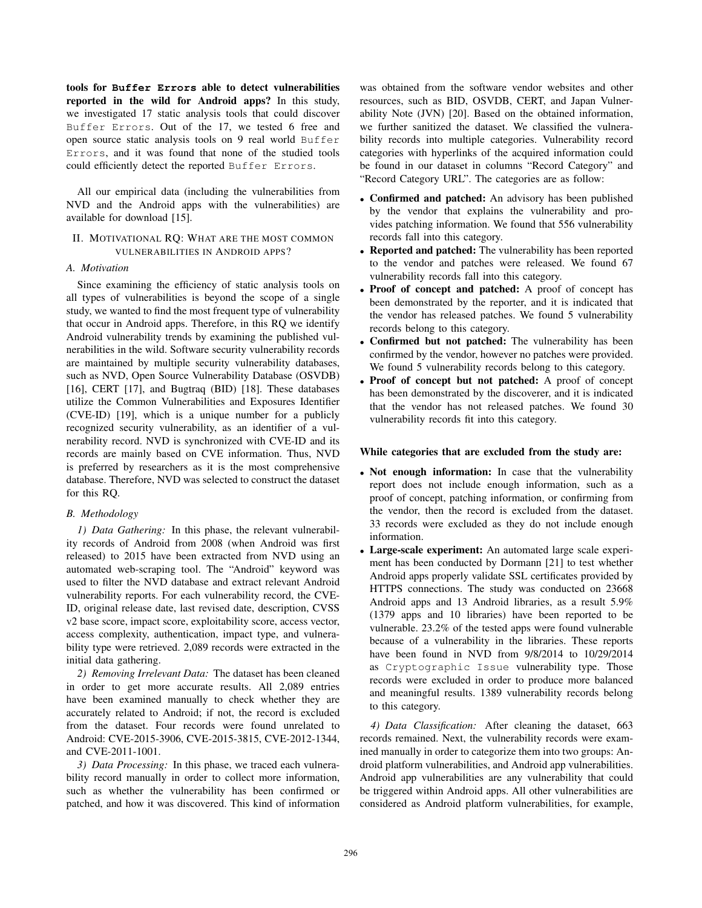tools for **Buffer Errors** able to detect vulnerabilities reported in the wild for Android apps? In this study, we investigated 17 static analysis tools that could discover Buffer Errors. Out of the 17, we tested 6 free and open source static analysis tools on 9 real world Buffer Errors, and it was found that none of the studied tools could efficiently detect the reported Buffer Errors.

All our empirical data (including the vulnerabilities from NVD and the Android apps with the vulnerabilities) are available for download [15].

## II. MOTIVATIONAL RQ: WHAT ARE THE MOST COMMON VULNERABILITIES IN ANDROID APPS?

## *A. Motivation*

Since examining the efficiency of static analysis tools on all types of vulnerabilities is beyond the scope of a single study, we wanted to find the most frequent type of vulnerability that occur in Android apps. Therefore, in this RQ we identify Android vulnerability trends by examining the published vulnerabilities in the wild. Software security vulnerability records are maintained by multiple security vulnerability databases, such as NVD, Open Source Vulnerability Database (OSVDB) [16], CERT [17], and Bugtraq (BID) [18]. These databases utilize the Common Vulnerabilities and Exposures Identifier (CVE-ID) [19], which is a unique number for a publicly recognized security vulnerability, as an identifier of a vulnerability record. NVD is synchronized with CVE-ID and its records are mainly based on CVE information. Thus, NVD is preferred by researchers as it is the most comprehensive database. Therefore, NVD was selected to construct the dataset for this RQ.

#### *B. Methodology*

*1) Data Gathering:* In this phase, the relevant vulnerability records of Android from 2008 (when Android was first released) to 2015 have been extracted from NVD using an automated web-scraping tool. The "Android" keyword was used to filter the NVD database and extract relevant Android vulnerability reports. For each vulnerability record, the CVE-ID, original release date, last revised date, description, CVSS v2 base score, impact score, exploitability score, access vector, access complexity, authentication, impact type, and vulnerability type were retrieved. 2,089 records were extracted in the initial data gathering.

*2) Removing Irrelevant Data:* The dataset has been cleaned in order to get more accurate results. All 2,089 entries have been examined manually to check whether they are accurately related to Android; if not, the record is excluded from the dataset. Four records were found unrelated to Android: CVE-2015-3906, CVE-2015-3815, CVE-2012-1344, and CVE-2011-1001.

*3) Data Processing:* In this phase, we traced each vulnerability record manually in order to collect more information, such as whether the vulnerability has been confirmed or patched, and how it was discovered. This kind of information

was obtained from the software vendor websites and other resources, such as BID, OSVDB, CERT, and Japan Vulnerability Note (JVN) [20]. Based on the obtained information, we further sanitized the dataset. We classified the vulnerability records into multiple categories. Vulnerability record categories with hyperlinks of the acquired information could be found in our dataset in columns "Record Category" and "Record Category URL". The categories are as follow:

- Confirmed and patched: An advisory has been published by the vendor that explains the vulnerability and provides patching information. We found that 556 vulnerability records fall into this category.
- Reported and patched: The vulnerability has been reported to the vendor and patches were released. We found 67 vulnerability records fall into this category.
- Proof of concept and patched: A proof of concept has been demonstrated by the reporter, and it is indicated that the vendor has released patches. We found 5 vulnerability records belong to this category.
- Confirmed but not patched: The vulnerability has been confirmed by the vendor, however no patches were provided. We found 5 vulnerability records belong to this category.
- Proof of concept but not patched: A proof of concept has been demonstrated by the discoverer, and it is indicated that the vendor has not released patches. We found 30 vulnerability records fit into this category.

## While categories that are excluded from the study are:

- Not enough information: In case that the vulnerability report does not include enough information, such as a proof of concept, patching information, or confirming from the vendor, then the record is excluded from the dataset. 33 records were excluded as they do not include enough information.
- Large-scale experiment: An automated large scale experiment has been conducted by Dormann [21] to test whether Android apps properly validate SSL certificates provided by HTTPS connections. The study was conducted on 23668 Android apps and 13 Android libraries, as a result 5.9% (1379 apps and 10 libraries) have been reported to be vulnerable. 23.2% of the tested apps were found vulnerable because of a vulnerability in the libraries. These reports have been found in NVD from 9/8/2014 to 10/29/2014 as Cryptographic Issue vulnerability type. Those records were excluded in order to produce more balanced and meaningful results. 1389 vulnerability records belong to this category.

*4) Data Classification:* After cleaning the dataset, 663 records remained. Next, the vulnerability records were examined manually in order to categorize them into two groups: Android platform vulnerabilities, and Android app vulnerabilities. Android app vulnerabilities are any vulnerability that could be triggered within Android apps. All other vulnerabilities are considered as Android platform vulnerabilities, for example,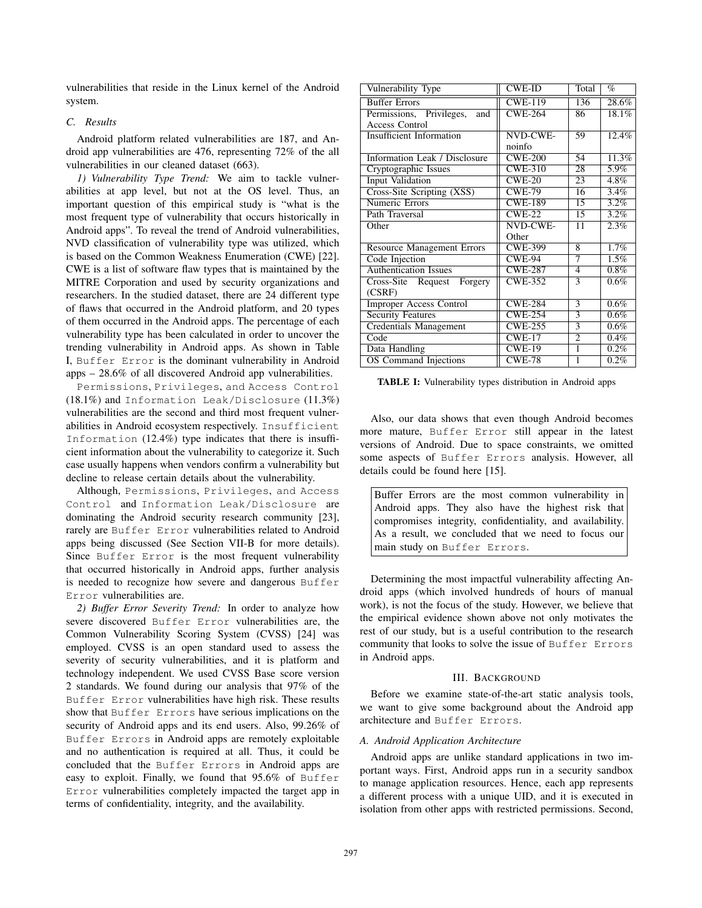vulnerabilities that reside in the Linux kernel of the Android system.

# *C. Results*

Android platform related vulnerabilities are 187, and Android app vulnerabilities are 476, representing 72% of the all vulnerabilities in our cleaned dataset (663).

*1) Vulnerability Type Trend:* We aim to tackle vulnerabilities at app level, but not at the OS level. Thus, an important question of this empirical study is "what is the most frequent type of vulnerability that occurs historically in Android apps". To reveal the trend of Android vulnerabilities, NVD classification of vulnerability type was utilized, which is based on the Common Weakness Enumeration (CWE) [22]. CWE is a list of software flaw types that is maintained by the MITRE Corporation and used by security organizations and researchers. In the studied dataset, there are 24 different type of flaws that occurred in the Android platform, and 20 types of them occurred in the Android apps. The percentage of each vulnerability type has been calculated in order to uncover the trending vulnerability in Android apps. As shown in Table I, Buffer Error is the dominant vulnerability in Android apps – 28.6% of all discovered Android app vulnerabilities.

Permissions, Privileges, and Access Control (18.1%) and Information Leak/Disclosure (11.3%) vulnerabilities are the second and third most frequent vulnerabilities in Android ecosystem respectively. Insufficient Information (12.4%) type indicates that there is insufficient information about the vulnerability to categorize it. Such case usually happens when vendors confirm a vulnerability but decline to release certain details about the vulnerability.

Although, Permissions, Privileges, and Access Control and Information Leak/Disclosure are dominating the Android security research community [23], rarely are Buffer Error vulnerabilities related to Android apps being discussed (See Section VII-B for more details). Since Buffer Error is the most frequent vulnerability that occurred historically in Android apps, further analysis is needed to recognize how severe and dangerous Buffer Error vulnerabilities are.

*2) Buffer Error Severity Trend:* In order to analyze how severe discovered Buffer Error vulnerabilities are, the Common Vulnerability Scoring System (CVSS) [24] was employed. CVSS is an open standard used to assess the severity of security vulnerabilities, and it is platform and technology independent. We used CVSS Base score version 2 standards. We found during our analysis that 97% of the Buffer Error vulnerabilities have high risk. These results show that Buffer Errors have serious implications on the security of Android apps and its end users. Also, 99.26% of Buffer Errors in Android apps are remotely exploitable and no authentication is required at all. Thus, it could be concluded that the Buffer Errors in Android apps are easy to exploit. Finally, we found that 95.6% of Buffer Error vulnerabilities completely impacted the target app in terms of confidentiality, integrity, and the availability.

| Vulnerability Type                   | <b>CWE-ID</b>  | Total           | $\%$    |
|--------------------------------------|----------------|-----------------|---------|
| <b>Buffer Errors</b>                 | <b>CWE-119</b> | 136             | 28.6%   |
| Permissions, Privileges,<br>and      | <b>CWE-264</b> | 86              | 18.1%   |
| <b>Access Control</b>                |                |                 |         |
| <b>Insufficient Information</b>      | NVD-CWE-       | 59              | 12.4%   |
|                                      | noinfo         |                 |         |
| <b>Information Leak / Disclosure</b> | $CWE-200$      | 54              | 11.3%   |
| Cryptographic Issues                 | $CWE-310$      | 28              | 5.9%    |
| <b>Input Validation</b>              | $CWE-20$       | $\overline{23}$ | 4.8%    |
| Cross-Site Scripting (XSS)           | <b>CWE-79</b>  | 16              | $3.4\%$ |
| Numeric Errors                       | $CWE-189$      | 15              | 3.2%    |
| Path Traversal                       | $CWE-22$       | 15              | $3.2\%$ |
| Other                                | NVD-CWE-       | $\overline{11}$ | 2.3%    |
|                                      | Other          |                 |         |
| <b>Resource Management Errors</b>    | <b>CWE-399</b> | 8               | 1.7%    |
| Code Injection                       | $CWE-94$       | 7               | $1.5\%$ |
| <b>Authentication Issues</b>         | <b>CWE-287</b> | 4               | $0.8\%$ |
| Cross-Site Request Forgery           | <b>CWE-352</b> | $\mathbf{3}$    | $0.6\%$ |
| (CSRF)                               |                |                 |         |
| <b>Improper Access Control</b>       | <b>CWE-284</b> | $\overline{3}$  | 0.6%    |
| <b>Security Features</b>             | <b>CWE-254</b> | $\overline{3}$  | $0.6\%$ |
| Credentials Management               | <b>CWE-255</b> | $\overline{3}$  | 0.6%    |
| Code                                 | $CWE-17$       | $\overline{2}$  | $0.4\%$ |
| Data Handling                        | $CWE-19$       | ī               | $0.2\%$ |
| <b>OS</b> Command Injections         | $CWE-78$       | ī               | 0.2%    |

TABLE I: Vulnerability types distribution in Android apps

Also, our data shows that even though Android becomes more mature, Buffer Error still appear in the latest versions of Android. Due to space constraints, we omitted some aspects of Buffer Errors analysis. However, all details could be found here [15].

Buffer Errors are the most common vulnerability in Android apps. They also have the highest risk that compromises integrity, confidentiality, and availability. As a result, we concluded that we need to focus our main study on Buffer Errors.

Determining the most impactful vulnerability affecting Android apps (which involved hundreds of hours of manual work), is not the focus of the study. However, we believe that the empirical evidence shown above not only motivates the rest of our study, but is a useful contribution to the research community that looks to solve the issue of Buffer Errors in Android apps.

#### III. BACKGROUND

Before we examine state-of-the-art static analysis tools, we want to give some background about the Android app architecture and Buffer Errors.

## *A. Android Application Architecture*

Android apps are unlike standard applications in two important ways. First, Android apps run in a security sandbox to manage application resources. Hence, each app represents a different process with a unique UID, and it is executed in isolation from other apps with restricted permissions. Second,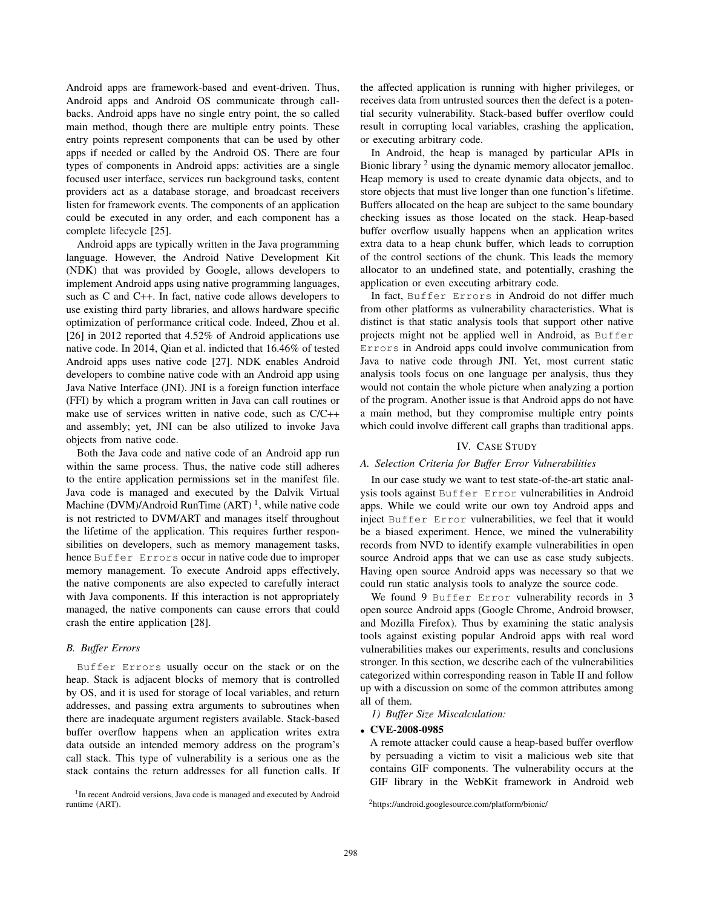Android apps are framework-based and event-driven. Thus, Android apps and Android OS communicate through callbacks. Android apps have no single entry point, the so called main method, though there are multiple entry points. These entry points represent components that can be used by other apps if needed or called by the Android OS. There are four types of components in Android apps: activities are a single focused user interface, services run background tasks, content providers act as a database storage, and broadcast receivers listen for framework events. The components of an application could be executed in any order, and each component has a complete lifecycle [25].

Android apps are typically written in the Java programming language. However, the Android Native Development Kit (NDK) that was provided by Google, allows developers to implement Android apps using native programming languages, such as C and C++. In fact, native code allows developers to use existing third party libraries, and allows hardware specific optimization of performance critical code. Indeed, Zhou et al. [26] in 2012 reported that 4.52% of Android applications use native code. In 2014, Qian et al. indicted that 16.46% of tested Android apps uses native code [27]. NDK enables Android developers to combine native code with an Android app using Java Native Interface (JNI). JNI is a foreign function interface (FFI) by which a program written in Java can call routines or make use of services written in native code, such as C/C++ and assembly; yet, JNI can be also utilized to invoke Java objects from native code.

Both the Java code and native code of an Android app run within the same process. Thus, the native code still adheres to the entire application permissions set in the manifest file. Java code is managed and executed by the Dalvik Virtual Machine (DVM)/Android RunTime  $(ART)^1$ , while native code is not restricted to DVM/ART and manages itself throughout the lifetime of the application. This requires further responsibilities on developers, such as memory management tasks, hence Buffer Errors occur in native code due to improper memory management. To execute Android apps effectively, the native components are also expected to carefully interact with Java components. If this interaction is not appropriately managed, the native components can cause errors that could crash the entire application [28].

## *B. Buffer Errors*

Buffer Errors usually occur on the stack or on the heap. Stack is adjacent blocks of memory that is controlled by OS, and it is used for storage of local variables, and return addresses, and passing extra arguments to subroutines when there are inadequate argument registers available. Stack-based buffer overflow happens when an application writes extra data outside an intended memory address on the program's call stack. This type of vulnerability is a serious one as the stack contains the return addresses for all function calls. If

<sup>1</sup>In recent Android versions, Java code is managed and executed by Android runtime (ART).

the affected application is running with higher privileges, or receives data from untrusted sources then the defect is a potential security vulnerability. Stack-based buffer overflow could result in corrupting local variables, crashing the application, or executing arbitrary code.

In Android, the heap is managed by particular APIs in Bionic library <sup>2</sup> using the dynamic memory allocator jemalloc. Heap memory is used to create dynamic data objects, and to store objects that must live longer than one function's lifetime. Buffers allocated on the heap are subject to the same boundary checking issues as those located on the stack. Heap-based buffer overflow usually happens when an application writes extra data to a heap chunk buffer, which leads to corruption of the control sections of the chunk. This leads the memory allocator to an undefined state, and potentially, crashing the application or even executing arbitrary code.

In fact, Buffer Errors in Android do not differ much from other platforms as vulnerability characteristics. What is distinct is that static analysis tools that support other native projects might not be applied well in Android, as Buffer Errors in Android apps could involve communication from Java to native code through JNI. Yet, most current static analysis tools focus on one language per analysis, thus they would not contain the whole picture when analyzing a portion of the program. Another issue is that Android apps do not have a main method, but they compromise multiple entry points which could involve different call graphs than traditional apps.

## IV. CASE STUDY

## *A. Selection Criteria for Buffer Error Vulnerabilities*

In our case study we want to test state-of-the-art static analysis tools against Buffer Error vulnerabilities in Android apps. While we could write our own toy Android apps and inject Buffer Error vulnerabilities, we feel that it would be a biased experiment. Hence, we mined the vulnerability records from NVD to identify example vulnerabilities in open source Android apps that we can use as case study subjects. Having open source Android apps was necessary so that we could run static analysis tools to analyze the source code.

We found 9 Buffer Error vulnerability records in 3 open source Android apps (Google Chrome, Android browser, and Mozilla Firefox). Thus by examining the static analysis tools against existing popular Android apps with real word vulnerabilities makes our experiments, results and conclusions stronger. In this section, we describe each of the vulnerabilities categorized within corresponding reason in Table II and follow up with a discussion on some of the common attributes among all of them.

*1) Buffer Size Miscalculation:*

#### • CVE-2008-0985

A remote attacker could cause a heap-based buffer overflow by persuading a victim to visit a malicious web site that contains GIF components. The vulnerability occurs at the GIF library in the WebKit framework in Android web

<sup>2</sup>https://android.googlesource.com/platform/bionic/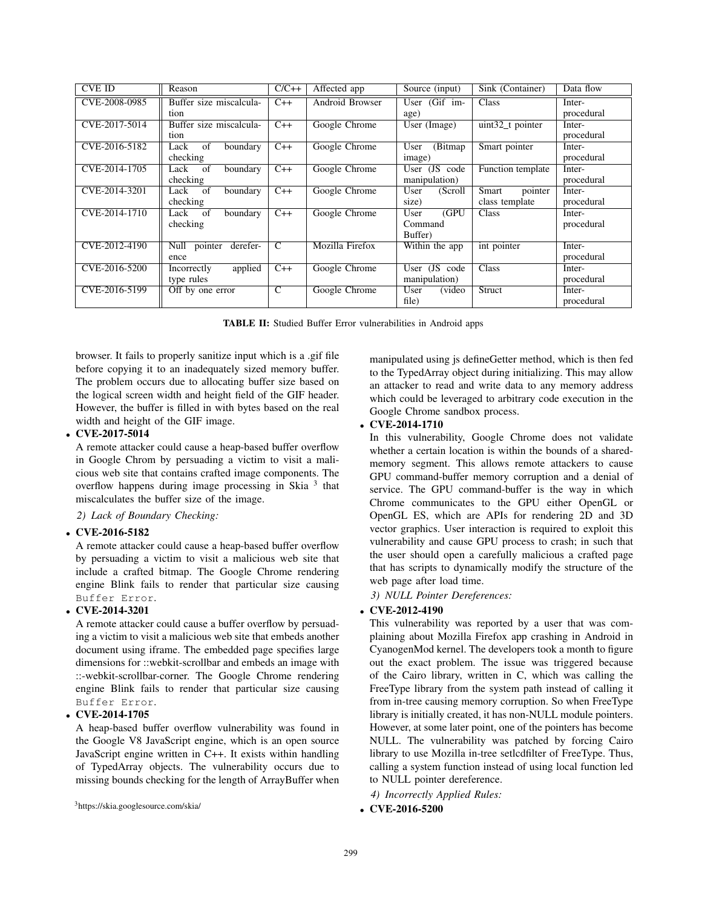| <b>CVE ID</b> | Reason                      | $C/C++$       | Affected app    | Source (input)         | Sink (Container)    | Data flow  |
|---------------|-----------------------------|---------------|-----------------|------------------------|---------------------|------------|
| CVE-2008-0985 | Buffer size miscalcula-     | $C++$         | Android Browser | User (Gif im-          | Class               | Inter-     |
|               | tion                        |               |                 | age)                   |                     | procedural |
| CVE-2017-5014 | Buffer size miscalcula-     | $C++$         | Google Chrome   | User (Image)           | uint $32$ t pointer | Inter-     |
|               | tion                        |               |                 |                        |                     | procedural |
| CVE-2016-5182 | of<br>Lack<br>boundary      | $C++$         | Google Chrome   | (Bitmap)<br>User       | Smart pointer       | Inter-     |
|               | checking                    |               |                 | image)                 |                     | procedural |
| CVE-2014-1705 | of<br>boundary<br>Lack      | $C++$         | Google Chrome   | User (JS code          | Function template   | Inter-     |
|               | checking                    |               |                 | manipulation)          |                     | procedural |
| CVE-2014-3201 | of<br>Lack<br>boundary      | $C++$         | Google Chrome   | User<br>(Scroll)       | Smart<br>pointer    | Inter-     |
|               | checking                    |               |                 | size)                  | class template      | procedural |
| CVE-2014-1710 | boundary<br>Lack<br>of      | $C++$         | Google Chrome   | (GPU)<br>User          | <b>Class</b>        | Inter-     |
|               | checking                    |               |                 | Command                |                     | procedural |
|               |                             |               |                 | Buffer)                |                     |            |
| CVE-2012-4190 | pointer<br>Null<br>derefer- | C             | Mozilla Firefox | Within the app         | int pointer         | Inter-     |
|               | ence                        |               |                 |                        |                     | procedural |
| CVE-2016-5200 | applied<br>Incorrectly      | $C++$         | Google Chrome   | User (JS code          | <b>Class</b>        | Inter-     |
|               | type rules                  |               |                 | manipulation)          |                     | procedural |
| CVE-2016-5199 | Off by one error            | $\mathcal{C}$ | Google Chrome   | User<br><i>(video)</i> | Struct              | Inter-     |
|               |                             |               |                 | file)                  |                     | procedural |

TABLE II: Studied Buffer Error vulnerabilities in Android apps

browser. It fails to properly sanitize input which is a .gif file before copying it to an inadequately sized memory buffer. The problem occurs due to allocating buffer size based on the logical screen width and height field of the GIF header. However, the buffer is filled in with bytes based on the real width and height of the GIF image.

# • CVE-2017-5014

A remote attacker could cause a heap-based buffer overflow in Google Chrom by persuading a victim to visit a malicious web site that contains crafted image components. The overflow happens during image processing in Skia <sup>3</sup> that miscalculates the buffer size of the image.

# *2) Lack of Boundary Checking:*

# • CVE-2016-5182

A remote attacker could cause a heap-based buffer overflow by persuading a victim to visit a malicious web site that include a crafted bitmap. The Google Chrome rendering engine Blink fails to render that particular size causing Buffer Error.

# • CVE-2014-3201

A remote attacker could cause a buffer overflow by persuading a victim to visit a malicious web site that embeds another document using iframe. The embedded page specifies large dimensions for ::webkit-scrollbar and embeds an image with ::-webkit-scrollbar-corner. The Google Chrome rendering engine Blink fails to render that particular size causing Buffer Error.

# • CVE-2014-1705

A heap-based buffer overflow vulnerability was found in the Google V8 JavaScript engine, which is an open source JavaScript engine written in C++. It exists within handling of TypedArray objects. The vulnerability occurs due to missing bounds checking for the length of ArrayBuffer when manipulated using js defineGetter method, which is then fed to the TypedArray object during initializing. This may allow an attacker to read and write data to any memory address which could be leveraged to arbitrary code execution in the Google Chrome sandbox process.

# • CVE-2014-1710

In this vulnerability, Google Chrome does not validate whether a certain location is within the bounds of a sharedmemory segment. This allows remote attackers to cause GPU command-buffer memory corruption and a denial of service. The GPU command-buffer is the way in which Chrome communicates to the GPU either OpenGL or OpenGL ES, which are APIs for rendering 2D and 3D vector graphics. User interaction is required to exploit this vulnerability and cause GPU process to crash; in such that the user should open a carefully malicious a crafted page that has scripts to dynamically modify the structure of the web page after load time.

*3) NULL Pointer Dereferences:*

# • CVE-2012-4190

This vulnerability was reported by a user that was complaining about Mozilla Firefox app crashing in Android in CyanogenMod kernel. The developers took a month to figure out the exact problem. The issue was triggered because of the Cairo library, written in C, which was calling the FreeType library from the system path instead of calling it from in-tree causing memory corruption. So when FreeType library is initially created, it has non-NULL module pointers. However, at some later point, one of the pointers has become NULL. The vulnerability was patched by forcing Cairo library to use Mozilla in-tree setlcdfilter of FreeType. Thus, calling a system function instead of using local function led to NULL pointer dereference.

*4) Incorrectly Applied Rules:*

# • CVE-2016-5200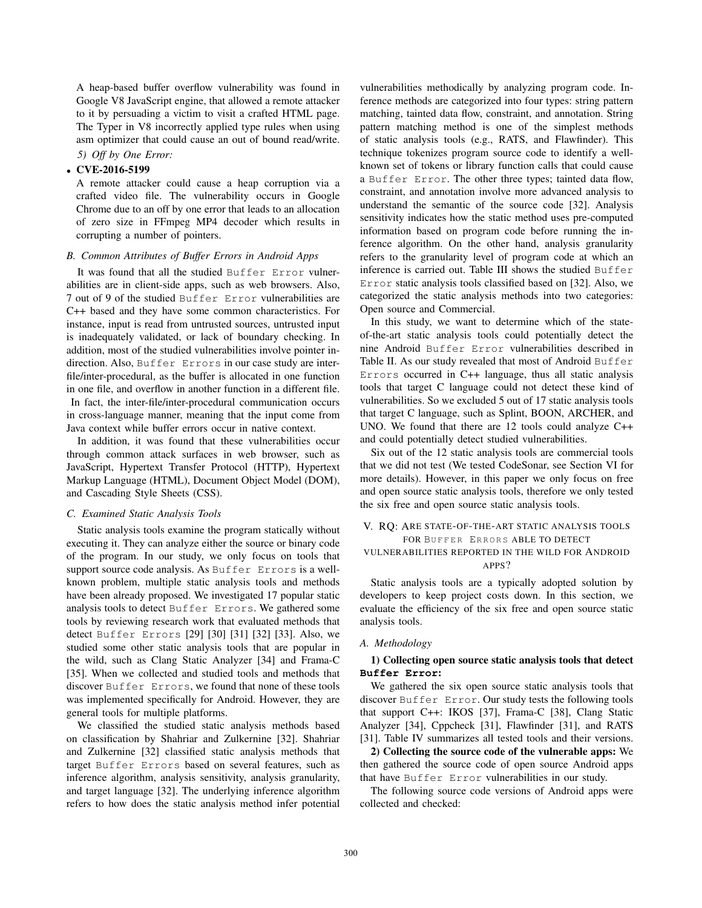A heap-based buffer overflow vulnerability was found in Google V8 JavaScript engine, that allowed a remote attacker to it by persuading a victim to visit a crafted HTML page. The Typer in V8 incorrectly applied type rules when using asm optimizer that could cause an out of bound read/write. *5) Off by One Error:*

# • CVE-2016-5199

A remote attacker could cause a heap corruption via a crafted video file. The vulnerability occurs in Google Chrome due to an off by one error that leads to an allocation of zero size in FFmpeg MP4 decoder which results in corrupting a number of pointers.

# *B. Common Attributes of Buffer Errors in Android Apps*

It was found that all the studied Buffer Error vulnerabilities are in client-side apps, such as web browsers. Also, 7 out of 9 of the studied Buffer Error vulnerabilities are C++ based and they have some common characteristics. For instance, input is read from untrusted sources, untrusted input is inadequately validated, or lack of boundary checking. In addition, most of the studied vulnerabilities involve pointer indirection. Also, Buffer Errors in our case study are interfile/inter-procedural, as the buffer is allocated in one function in one file, and overflow in another function in a different file. In fact, the inter-file/inter-procedural communication occurs in cross-language manner, meaning that the input come from Java context while buffer errors occur in native context.

In addition, it was found that these vulnerabilities occur through common attack surfaces in web browser, such as JavaScript, Hypertext Transfer Protocol (HTTP), Hypertext Markup Language (HTML), Document Object Model (DOM), and Cascading Style Sheets (CSS).

#### *C. Examined Static Analysis Tools*

Static analysis tools examine the program statically without executing it. They can analyze either the source or binary code of the program. In our study, we only focus on tools that support source code analysis. As Buffer Errors is a wellknown problem, multiple static analysis tools and methods have been already proposed. We investigated 17 popular static analysis tools to detect Buffer Errors. We gathered some tools by reviewing research work that evaluated methods that detect Buffer Errors [29] [30] [31] [32] [33]. Also, we studied some other static analysis tools that are popular in the wild, such as Clang Static Analyzer [34] and Frama-C [35]. When we collected and studied tools and methods that discover Buffer Errors, we found that none of these tools was implemented specifically for Android. However, they are general tools for multiple platforms.

We classified the studied static analysis methods based on classification by Shahriar and Zulkernine [32]. Shahriar and Zulkernine [32] classified static analysis methods that target Buffer Errors based on several features, such as inference algorithm, analysis sensitivity, analysis granularity, and target language [32]. The underlying inference algorithm refers to how does the static analysis method infer potential vulnerabilities methodically by analyzing program code. Inference methods are categorized into four types: string pattern matching, tainted data flow, constraint, and annotation. String pattern matching method is one of the simplest methods of static analysis tools (e.g., RATS, and Flawfinder). This technique tokenizes program source code to identify a wellknown set of tokens or library function calls that could cause a Buffer Error. The other three types; tainted data flow, constraint, and annotation involve more advanced analysis to understand the semantic of the source code [32]. Analysis sensitivity indicates how the static method uses pre-computed information based on program code before running the inference algorithm. On the other hand, analysis granularity refers to the granularity level of program code at which an inference is carried out. Table III shows the studied Buffer Error static analysis tools classified based on [32]. Also, we categorized the static analysis methods into two categories: Open source and Commercial.

In this study, we want to determine which of the stateof-the-art static analysis tools could potentially detect the nine Android Buffer Error vulnerabilities described in Table II. As our study revealed that most of Android Buffer Errors occurred in C++ language, thus all static analysis tools that target C language could not detect these kind of vulnerabilities. So we excluded 5 out of 17 static analysis tools that target C language, such as Splint, BOON, ARCHER, and UNO. We found that there are 12 tools could analyze C++ and could potentially detect studied vulnerabilities.

Six out of the 12 static analysis tools are commercial tools that we did not test (We tested CodeSonar, see Section VI for more details). However, in this paper we only focus on free and open source static analysis tools, therefore we only tested the six free and open source static analysis tools.

# V. RQ: ARE STATE-OF-THE-ART STATIC ANALYSIS TOOLS FOR BUFFER ERRORS ABLE TO DETECT

# VULNERABILITIES REPORTED IN THE WILD FOR ANDROID APPS?

Static analysis tools are a typically adopted solution by developers to keep project costs down. In this section, we evaluate the efficiency of the six free and open source static analysis tools.

#### *A. Methodology*

# 1) Collecting open source static analysis tools that detect **Buffer Error**:

We gathered the six open source static analysis tools that discover Buffer Error. Our study tests the following tools that support C++: IKOS [37], Frama-C [38], Clang Static Analyzer [34], Cppcheck [31], Flawfinder [31], and RATS [31]. Table IV summarizes all tested tools and their versions.

2) Collecting the source code of the vulnerable apps: We then gathered the source code of open source Android apps that have Buffer Error vulnerabilities in our study.

The following source code versions of Android apps were collected and checked: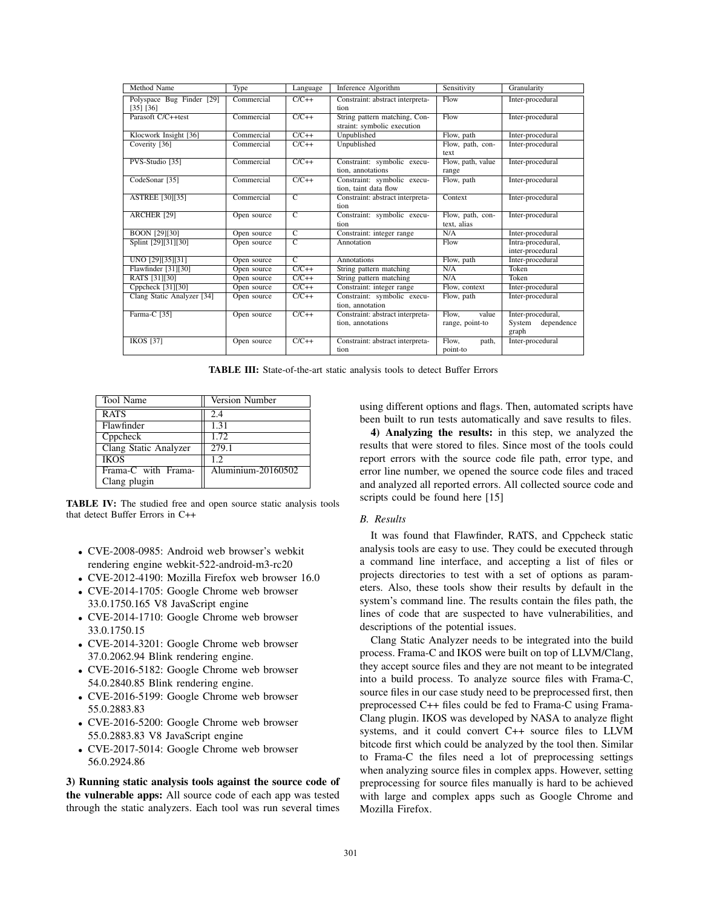| Method Name                | Type        | Language       | Inference Algorithm              | Sensitivity       | Granularity          |  |
|----------------------------|-------------|----------------|----------------------------------|-------------------|----------------------|--|
| Polyspace Bug Finder [29]  | Commercial  | $C/C++$        | Constraint: abstract interpreta- | Flow              | Inter-procedural     |  |
| $[35]$ $[36]$              |             |                | tion                             |                   |                      |  |
| Parasoft C/C++test         | Commercial  | $C/C++$        | String pattern matching, Con-    | Flow              | Inter-procedural     |  |
|                            |             |                | straint: symbolic execution      |                   |                      |  |
| Klocwork Insight [36]      | Commercial  | $C/C++$        | Unpublished                      | Flow, path        | Inter-procedural     |  |
| Coverity [36]              | Commercial  | $C/C++$        | Unpublished                      | Flow, path, con-  | Inter-procedural     |  |
|                            |             |                |                                  | text              |                      |  |
| PVS-Studio [35]            | Commercial  | $C/C++$        | Constraint: symbolic execu-      | Flow, path, value | Inter-procedural     |  |
|                            |             |                | tion, annotations                | range             |                      |  |
| CodeSonar <sup>[35]</sup>  | Commercial  | $C/C++$        | Constraint: symbolic execu-      | Flow, path        | Inter-procedural     |  |
|                            |             |                | tion, taint data flow            |                   |                      |  |
| <b>ASTREE</b> [30][35]     | Commercial  | $\overline{C}$ | Constraint: abstract interpreta- | Context           | Inter-procedural     |  |
|                            |             |                | tion                             |                   |                      |  |
| ARCHER <sup>[29]</sup>     | Open source | $\overline{C}$ | Constraint: symbolic execu-      | Flow, path, con-  | Inter-procedural     |  |
|                            |             |                | tion                             | text, alias       |                      |  |
| <b>BOON</b> [29][30]       | Open source | $\overline{C}$ | Constraint: integer range        | N/A               | Inter-procedural     |  |
| Splint [29][31][30]        | Open source | $\overline{C}$ | Annotation                       | Flow              | Intra-procedural,    |  |
|                            |             |                |                                  |                   | inter-procedural     |  |
| UNO [29][35][31]           | Open source | $\overline{C}$ | <b>Annotations</b>               | Flow, path        | Inter-procedural     |  |
| Flawfinder [31][30]        | Open source | $C/C++$        | String pattern matching          | N/A               | Token                |  |
| RATS [31][30]              | Open source | $C/C++$        | String pattern matching          | N/A               | Token                |  |
| Cppcheck [31][30]          | Open source | $C/C++$        | Constraint: integer range        | Flow, context     | Inter-procedural     |  |
| Clang Static Analyzer [34] | Open source | $C/C++$        | Constraint: symbolic execu-      | Flow, path        | Inter-procedural     |  |
|                            |             |                | tion, annotation                 |                   |                      |  |
| Farma-C [35]               | Open source | $C/C++$        | Constraint: abstract interpreta- | Flow.<br>value    | Inter-procedural,    |  |
|                            |             |                | tion, annotations                | range, point-to   | System<br>dependence |  |
|                            |             |                |                                  |                   | graph                |  |
| <b>IKOS [37]</b>           | Open source | $C/C++$        | Constraint: abstract interpreta- | Flow.<br>path,    | Inter-procedural     |  |
|                            |             |                | tion                             | point-to          |                      |  |

TABLE III: State-of-the-art static analysis tools to detect Buffer Errors

| Tool Name             | Version Number     |
|-----------------------|--------------------|
| <b>RATS</b>           | 2.4                |
| Flawfinder            | 1.31               |
| Cppcheck              | 1.72               |
| Clang Static Analyzer | 279.1              |
| <b>IKOS</b>           | 1.2.               |
| Frama-C with Frama-   | Aluminium-20160502 |
| Clang plugin          |                    |

TABLE IV: The studied free and open source static analysis tools that detect Buffer Errors in C++

- CVE-2008-0985: Android web browser's webkit rendering engine webkit-522-android-m3-rc20
- CVE-2012-4190: Mozilla Firefox web browser 16.0
- CVE-2014-1705: Google Chrome web browser 33.0.1750.165 V8 JavaScript engine
- CVE-2014-1710: Google Chrome web browser 33.0.1750.15
- CVE-2014-3201: Google Chrome web browser 37.0.2062.94 Blink rendering engine.
- CVE-2016-5182: Google Chrome web browser 54.0.2840.85 Blink rendering engine.
- CVE-2016-5199: Google Chrome web browser 55.0.2883.83
- CVE-2016-5200: Google Chrome web browser 55.0.2883.83 V8 JavaScript engine
- CVE-2017-5014: Google Chrome web browser 56.0.2924.86

3) Running static analysis tools against the source code of the vulnerable apps: All source code of each app was tested through the static analyzers. Each tool was run several times using different options and flags. Then, automated scripts have been built to run tests automatically and save results to files.

4) Analyzing the results: in this step, we analyzed the results that were stored to files. Since most of the tools could report errors with the source code file path, error type, and error line number, we opened the source code files and traced and analyzed all reported errors. All collected source code and scripts could be found here [15]

## *B. Results*

It was found that Flawfinder, RATS, and Cppcheck static analysis tools are easy to use. They could be executed through a command line interface, and accepting a list of files or projects directories to test with a set of options as parameters. Also, these tools show their results by default in the system's command line. The results contain the files path, the lines of code that are suspected to have vulnerabilities, and descriptions of the potential issues.

Clang Static Analyzer needs to be integrated into the build process. Frama-C and IKOS were built on top of LLVM/Clang, they accept source files and they are not meant to be integrated into a build process. To analyze source files with Frama-C, source files in our case study need to be preprocessed first, then preprocessed C++ files could be fed to Frama-C using Frama-Clang plugin. IKOS was developed by NASA to analyze flight systems, and it could convert C++ source files to LLVM bitcode first which could be analyzed by the tool then. Similar to Frama-C the files need a lot of preprocessing settings when analyzing source files in complex apps. However, setting preprocessing for source files manually is hard to be achieved with large and complex apps such as Google Chrome and Mozilla Firefox.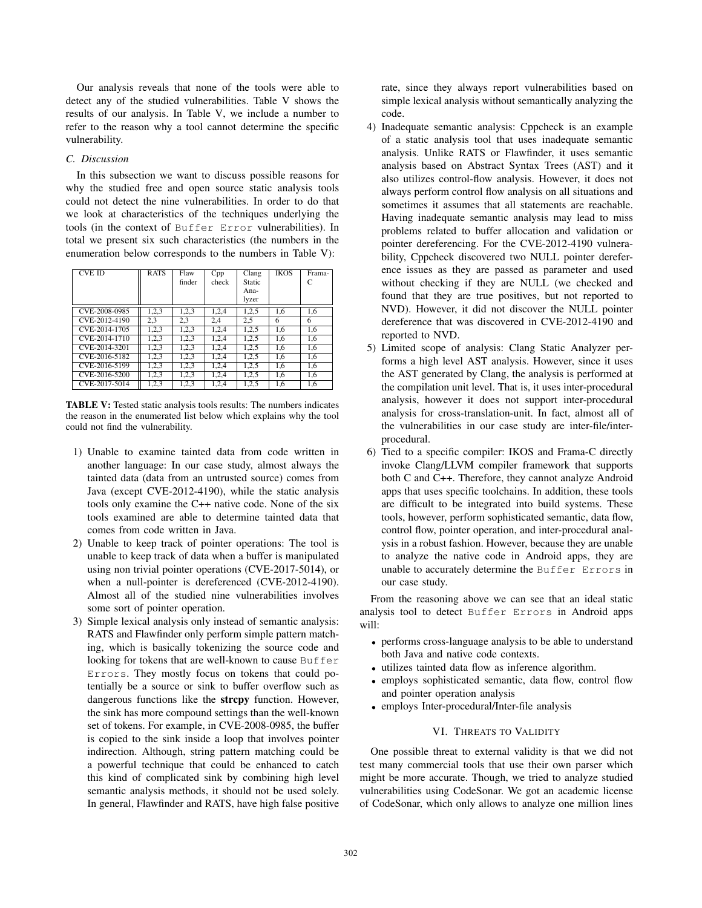Our analysis reveals that none of the tools were able to detect any of the studied vulnerabilities. Table V shows the results of our analysis. In Table V, we include a number to refer to the reason why a tool cannot determine the specific vulnerability.

## *C. Discussion*

In this subsection we want to discuss possible reasons for why the studied free and open source static analysis tools could not detect the nine vulnerabilities. In order to do that we look at characteristics of the techniques underlying the tools (in the context of Buffer Error vulnerabilities). In total we present six such characteristics (the numbers in the enumeration below corresponds to the numbers in Table V):

| <b>CVE ID</b> | <b>RATS</b> | Flaw<br>finder | Cpp<br>check | Clang<br>Static<br>Ana- | <b>IKOS</b> | Frama-<br>C |
|---------------|-------------|----------------|--------------|-------------------------|-------------|-------------|
|               |             |                |              | lyzer                   |             |             |
| CVE-2008-0985 | 1,2,3       | 1,2,3          | 1,2,4        | 1,2,5                   | 1.6         | 1,6         |
| CVE-2012-4190 | 2.3         | 2.3            | 2.4          | 2,5                     | 6           | 6           |
| CVE-2014-1705 | 1,2,3       | 1,2,3          | 1,2,4        | 1,2,5                   | 1.6         | 1.6         |
| CVE-2014-1710 | 1,2,3       | 1,2,3          | 1,2,4        | 1,2,5                   | 1.6         | 1.6         |
| CVE-2014-3201 | 1,2,3       | 1,2,3          | 1,2,4        | 1,2,5                   | 1.6         | 1.6         |
| CVE-2016-5182 | 1,2,3       | 1,2,3          | 1,2,4        | 1,2,5                   | 1,6         | 1,6         |
| CVE-2016-5199 | 1,2,3       | 1,2,3          | 1,2,4        | 1,2,5                   | 1.6         | 1,6         |
| CVE-2016-5200 | 1,2,3       | 1,2,3          | 1,2,4        | 1,2,5                   | 1,6         | 1,6         |
| CVE-2017-5014 | .2.3        | 1,2,3          | , 2.4        | 1.2.5                   | 1.6         | 1.6         |

TABLE V: Tested static analysis tools results: The numbers indicates the reason in the enumerated list below which explains why the tool could not find the vulnerability.

- 1) Unable to examine tainted data from code written in another language: In our case study, almost always the tainted data (data from an untrusted source) comes from Java (except CVE-2012-4190), while the static analysis tools only examine the C++ native code. None of the six tools examined are able to determine tainted data that comes from code written in Java.
- 2) Unable to keep track of pointer operations: The tool is unable to keep track of data when a buffer is manipulated using non trivial pointer operations (CVE-2017-5014), or when a null-pointer is dereferenced (CVE-2012-4190). Almost all of the studied nine vulnerabilities involves some sort of pointer operation.
- 3) Simple lexical analysis only instead of semantic analysis: RATS and Flawfinder only perform simple pattern matching, which is basically tokenizing the source code and looking for tokens that are well-known to cause Buffer Errors. They mostly focus on tokens that could potentially be a source or sink to buffer overflow such as dangerous functions like the strcpy function. However, the sink has more compound settings than the well-known set of tokens. For example, in CVE-2008-0985, the buffer is copied to the sink inside a loop that involves pointer indirection. Although, string pattern matching could be a powerful technique that could be enhanced to catch this kind of complicated sink by combining high level semantic analysis methods, it should not be used solely. In general, Flawfinder and RATS, have high false positive

rate, since they always report vulnerabilities based on simple lexical analysis without semantically analyzing the code.

- 4) Inadequate semantic analysis: Cppcheck is an example of a static analysis tool that uses inadequate semantic analysis. Unlike RATS or Flawfinder, it uses semantic analysis based on Abstract Syntax Trees (AST) and it also utilizes control-flow analysis. However, it does not always perform control flow analysis on all situations and sometimes it assumes that all statements are reachable. Having inadequate semantic analysis may lead to miss problems related to buffer allocation and validation or pointer dereferencing. For the CVE-2012-4190 vulnerability, Cppcheck discovered two NULL pointer dereference issues as they are passed as parameter and used without checking if they are NULL (we checked and found that they are true positives, but not reported to NVD). However, it did not discover the NULL pointer dereference that was discovered in CVE-2012-4190 and reported to NVD.
- 5) Limited scope of analysis: Clang Static Analyzer performs a high level AST analysis. However, since it uses the AST generated by Clang, the analysis is performed at the compilation unit level. That is, it uses inter-procedural analysis, however it does not support inter-procedural analysis for cross-translation-unit. In fact, almost all of the vulnerabilities in our case study are inter-file/interprocedural.
- 6) Tied to a specific compiler: IKOS and Frama-C directly invoke Clang/LLVM compiler framework that supports both C and C++. Therefore, they cannot analyze Android apps that uses specific toolchains. In addition, these tools are difficult to be integrated into build systems. These tools, however, perform sophisticated semantic, data flow, control flow, pointer operation, and inter-procedural analysis in a robust fashion. However, because they are unable to analyze the native code in Android apps, they are unable to accurately determine the Buffer Errors in our case study.

From the reasoning above we can see that an ideal static analysis tool to detect Buffer Errors in Android apps will:

- performs cross-language analysis to be able to understand both Java and native code contexts.
- utilizes tainted data flow as inference algorithm.
- employs sophisticated semantic, data flow, control flow and pointer operation analysis
- employs Inter-procedural/Inter-file analysis

# VI. THREATS TO VALIDITY

One possible threat to external validity is that we did not test many commercial tools that use their own parser which might be more accurate. Though, we tried to analyze studied vulnerabilities using CodeSonar. We got an academic license of CodeSonar, which only allows to analyze one million lines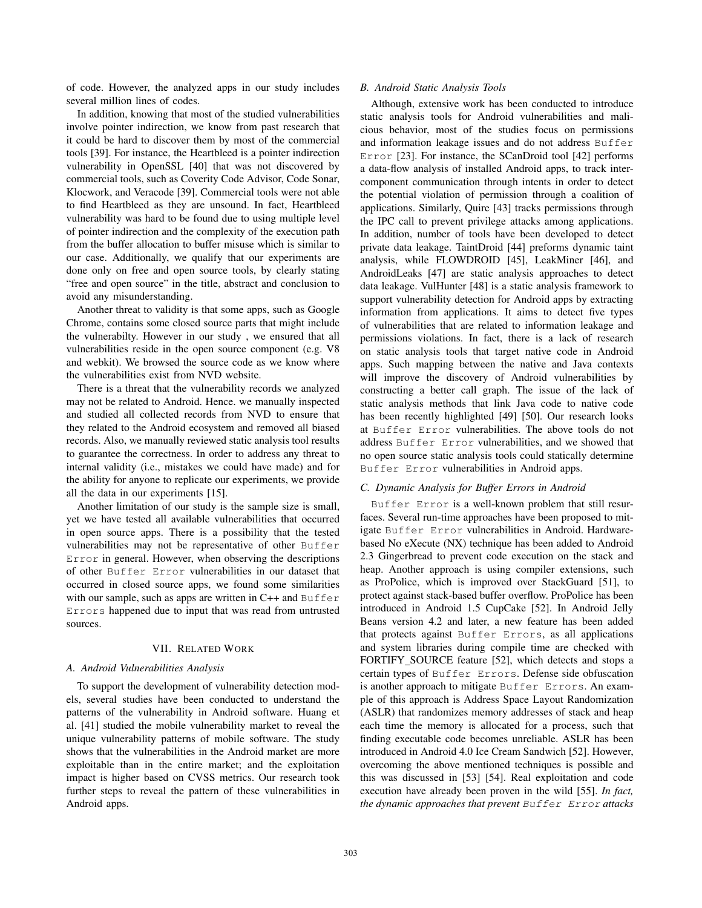of code. However, the analyzed apps in our study includes several million lines of codes.

In addition, knowing that most of the studied vulnerabilities involve pointer indirection, we know from past research that it could be hard to discover them by most of the commercial tools [39]. For instance, the Heartbleed is a pointer indirection vulnerability in OpenSSL [40] that was not discovered by commercial tools, such as Coverity Code Advisor, Code Sonar, Klocwork, and Veracode [39]. Commercial tools were not able to find Heartbleed as they are unsound. In fact, Heartbleed vulnerability was hard to be found due to using multiple level of pointer indirection and the complexity of the execution path from the buffer allocation to buffer misuse which is similar to our case. Additionally, we qualify that our experiments are done only on free and open source tools, by clearly stating "free and open source" in the title, abstract and conclusion to avoid any misunderstanding.

Another threat to validity is that some apps, such as Google Chrome, contains some closed source parts that might include the vulnerabilty. However in our study , we ensured that all vulnerabilities reside in the open source component (e.g. V8 and webkit). We browsed the source code as we know where the vulnerabilities exist from NVD website.

There is a threat that the vulnerability records we analyzed may not be related to Android. Hence. we manually inspected and studied all collected records from NVD to ensure that they related to the Android ecosystem and removed all biased records. Also, we manually reviewed static analysis tool results to guarantee the correctness. In order to address any threat to internal validity (i.e., mistakes we could have made) and for the ability for anyone to replicate our experiments, we provide all the data in our experiments [15].

Another limitation of our study is the sample size is small, yet we have tested all available vulnerabilities that occurred in open source apps. There is a possibility that the tested vulnerabilities may not be representative of other Buffer Error in general. However, when observing the descriptions of other Buffer Error vulnerabilities in our dataset that occurred in closed source apps, we found some similarities with our sample, such as apps are written in C++ and Buffer Errors happened due to input that was read from untrusted sources.

## VII. RELATED WORK

#### *A. Android Vulnerabilities Analysis*

To support the development of vulnerability detection models, several studies have been conducted to understand the patterns of the vulnerability in Android software. Huang et al. [41] studied the mobile vulnerability market to reveal the unique vulnerability patterns of mobile software. The study shows that the vulnerabilities in the Android market are more exploitable than in the entire market; and the exploitation impact is higher based on CVSS metrics. Our research took further steps to reveal the pattern of these vulnerabilities in Android apps.

#### *B. Android Static Analysis Tools*

Although, extensive work has been conducted to introduce static analysis tools for Android vulnerabilities and malicious behavior, most of the studies focus on permissions and information leakage issues and do not address Buffer Error [23]. For instance, the SCanDroid tool [42] performs a data-flow analysis of installed Android apps, to track intercomponent communication through intents in order to detect the potential violation of permission through a coalition of applications. Similarly, Quire [43] tracks permissions through the IPC call to prevent privilege attacks among applications. In addition, number of tools have been developed to detect private data leakage. TaintDroid [44] preforms dynamic taint analysis, while FLOWDROID [45], LeakMiner [46], and AndroidLeaks [47] are static analysis approaches to detect data leakage. VulHunter [48] is a static analysis framework to support vulnerability detection for Android apps by extracting information from applications. It aims to detect five types of vulnerabilities that are related to information leakage and permissions violations. In fact, there is a lack of research on static analysis tools that target native code in Android apps. Such mapping between the native and Java contexts will improve the discovery of Android vulnerabilities by constructing a better call graph. The issue of the lack of static analysis methods that link Java code to native code has been recently highlighted [49] [50]. Our research looks at Buffer Error vulnerabilities. The above tools do not address Buffer Error vulnerabilities, and we showed that no open source static analysis tools could statically determine Buffer Error vulnerabilities in Android apps.

#### *C. Dynamic Analysis for Buffer Errors in Android*

Buffer Error is a well-known problem that still resurfaces. Several run-time approaches have been proposed to mitigate Buffer Error vulnerabilities in Android. Hardwarebased No eXecute (NX) technique has been added to Android 2.3 Gingerbread to prevent code execution on the stack and heap. Another approach is using compiler extensions, such as ProPolice, which is improved over StackGuard [51], to protect against stack-based buffer overflow. ProPolice has been introduced in Android 1.5 CupCake [52]. In Android Jelly Beans version 4.2 and later, a new feature has been added that protects against Buffer Errors, as all applications and system libraries during compile time are checked with FORTIFY\_SOURCE feature [52], which detects and stops a certain types of Buffer Errors. Defense side obfuscation is another approach to mitigate Buffer Errors. An example of this approach is Address Space Layout Randomization (ASLR) that randomizes memory addresses of stack and heap each time the memory is allocated for a process, such that finding executable code becomes unreliable. ASLR has been introduced in Android 4.0 Ice Cream Sandwich [52]. However, overcoming the above mentioned techniques is possible and this was discussed in [53] [54]. Real exploitation and code execution have already been proven in the wild [55]. *In fact, the dynamic approaches that prevent* Buffer Error *attacks*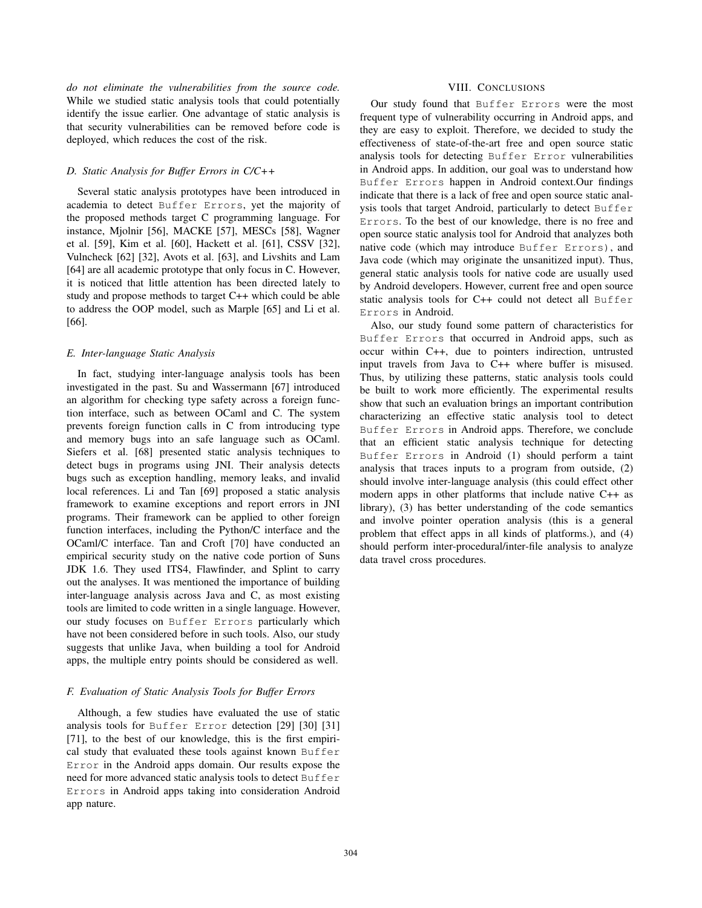*do not eliminate the vulnerabilities from the source code.* While we studied static analysis tools that could potentially identify the issue earlier. One advantage of static analysis is that security vulnerabilities can be removed before code is deployed, which reduces the cost of the risk.

# *D. Static Analysis for Buffer Errors in C/C++*

Several static analysis prototypes have been introduced in academia to detect Buffer Errors, yet the majority of the proposed methods target C programming language. For instance, Mjolnir [56], MACKE [57], MESCs [58], Wagner et al. [59], Kim et al. [60], Hackett et al. [61], CSSV [32], Vulncheck [62] [32], Avots et al. [63], and Livshits and Lam [64] are all academic prototype that only focus in C. However, it is noticed that little attention has been directed lately to study and propose methods to target C++ which could be able to address the OOP model, such as Marple [65] and Li et al. [66].

#### *E. Inter-language Static Analysis*

In fact, studying inter-language analysis tools has been investigated in the past. Su and Wassermann [67] introduced an algorithm for checking type safety across a foreign function interface, such as between OCaml and C. The system prevents foreign function calls in C from introducing type and memory bugs into an safe language such as OCaml. Siefers et al. [68] presented static analysis techniques to detect bugs in programs using JNI. Their analysis detects bugs such as exception handling, memory leaks, and invalid local references. Li and Tan [69] proposed a static analysis framework to examine exceptions and report errors in JNI programs. Their framework can be applied to other foreign function interfaces, including the Python/C interface and the OCaml/C interface. Tan and Croft [70] have conducted an empirical security study on the native code portion of Suns JDK 1.6. They used ITS4, Flawfinder, and Splint to carry out the analyses. It was mentioned the importance of building inter-language analysis across Java and C, as most existing tools are limited to code written in a single language. However, our study focuses on Buffer Errors particularly which have not been considered before in such tools. Also, our study suggests that unlike Java, when building a tool for Android apps, the multiple entry points should be considered as well.

## *F. Evaluation of Static Analysis Tools for Buffer Errors*

Although, a few studies have evaluated the use of static analysis tools for Buffer Error detection [29] [30] [31] [71], to the best of our knowledge, this is the first empirical study that evaluated these tools against known Buffer Error in the Android apps domain. Our results expose the need for more advanced static analysis tools to detect Buffer Errors in Android apps taking into consideration Android app nature.

## VIII. CONCLUSIONS

Our study found that Buffer Errors were the most frequent type of vulnerability occurring in Android apps, and they are easy to exploit. Therefore, we decided to study the effectiveness of state-of-the-art free and open source static analysis tools for detecting Buffer Error vulnerabilities in Android apps. In addition, our goal was to understand how Buffer Errors happen in Android context.Our findings indicate that there is a lack of free and open source static analysis tools that target Android, particularly to detect Buffer Errors. To the best of our knowledge, there is no free and open source static analysis tool for Android that analyzes both native code (which may introduce Buffer Errors), and Java code (which may originate the unsanitized input). Thus, general static analysis tools for native code are usually used by Android developers. However, current free and open source static analysis tools for C++ could not detect all Buffer Errors in Android.

Also, our study found some pattern of characteristics for Buffer Errors that occurred in Android apps, such as occur within C++, due to pointers indirection, untrusted input travels from Java to C++ where buffer is misused. Thus, by utilizing these patterns, static analysis tools could be built to work more efficiently. The experimental results show that such an evaluation brings an important contribution characterizing an effective static analysis tool to detect Buffer Errors in Android apps. Therefore, we conclude that an efficient static analysis technique for detecting Buffer Errors in Android (1) should perform a taint analysis that traces inputs to a program from outside, (2) should involve inter-language analysis (this could effect other modern apps in other platforms that include native C++ as library), (3) has better understanding of the code semantics and involve pointer operation analysis (this is a general problem that effect apps in all kinds of platforms.), and (4) should perform inter-procedural/inter-file analysis to analyze data travel cross procedures.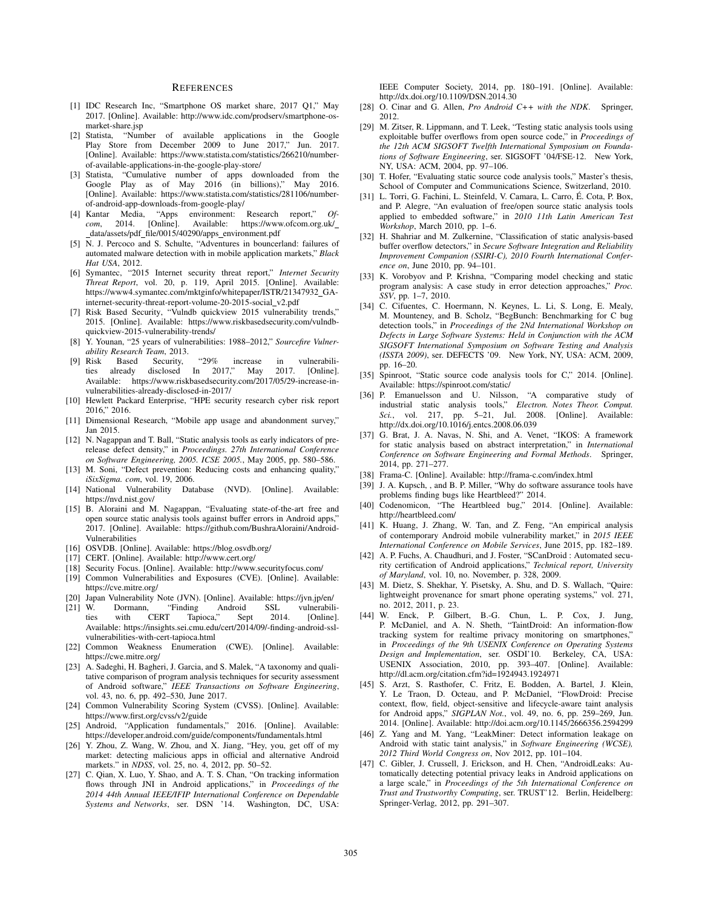#### **REFERENCES**

- [1] IDC Research Inc, "Smartphone OS market share, 2017 Q1," May 2017. [Online]. Available: http://www.idc.com/prodserv/smartphone-osmarket-share.jsp
- [2] Statista, "Number of available applications in the Google Play Store from December 2009 to June 2017," Jun. 2017. [Online]. Available: https://www.statista.com/statistics/266210/numberof-available-applications-in-the-google-play-store/
- [3] Statista, "Cumulative number of apps downloaded from the Google Play as of May 2016 (in billions)," May 2016. [Online]. Available: https://www.statista.com/statistics/281106/numberof-android-app-downloads-from-google-play/
- Research report," *Ofcom*, 2014. [Online]. Available: https://www.ofcom.org.uk/ data/assets/pdf file/0015/40290/apps environment.pdf
- [5] N. J. Percoco and S. Schulte, "Adventures in bouncerland: failures of automated malware detection with in mobile application markets," *Black Hat USA*, 2012.
- [6] Symantec, "2015 Internet security threat report," *Internet Security Threat Report*, vol. 20, p. 119, April 2015. [Online]. Available: https://www4.symantec.com/mktginfo/whitepaper/ISTR/21347932 GAinternet-security-threat-report-volume-20-2015-social\_v2.pdf
- [7] Risk Based Security, "Vulndb quickview 2015 vulnerability trends," 2015. [Online]. Available: https://www.riskbasedsecurity.com/vulndbquickview-2015-vulnerability-trends/
- [8] Y. Younan, "25 years of vulnerabilities: 1988–2012," *Sourcefire Vulnerability Research Team*, 2013.
- [9] Risk Based Security, "29% increase in vulnerabilities already disclosed In 2017," Available: https://www.riskbasedsecurity.com/2017/05/29-increase-invulnerabilities-already-disclosed-in-2017/
- [10] Hewlett Packard Enterprise, "HPE security research cyber risk report 2016," 2016.
- [11] Dimensional Research, "Mobile app usage and abandonment survey," Jan 2015.
- [12] N. Nagappan and T. Ball, "Static analysis tools as early indicators of prerelease defect density," in *Proceedings. 27th International Conference on Software Engineering, 2005. ICSE 2005.*, May 2005, pp. 580–586.
- [13] M. Soni, "Defect prevention: Reducing costs and enhancing quality," *iSixSigma. com*, vol. 19, 2006.
- [14] National Vulnerability Database (NVD). [Online]. Available: https://nvd.nist.gov/
- [15] B. Aloraini and M. Nagappan, "Evaluating state-of-the-art free and open source static analysis tools against buffer errors in Android apps," 2017. [Online]. Available: https://github.com/BushraAloraini/Android-Vulnerabilities
- [16] OSVDB. [Online]. Available: https://blog.osvdb.org/
- [17] CERT. [Online]. Available: http://www.cert.org/
- [18] Security Focus. [Online]. Available: http://www.securityfocus.com/
- [19] Common Vulnerabilities and Exposures (CVE). [Online]. Available: https://cve.mitre.org/
- [20] Japan Vulnerability Note (JVN). [Online]. Available: https://jvn.jp/en/
- Dormann, "Finding Android SSL vulnerabili-<br>with CERT Tapioca," Sept 2014. [Online]. ties with CERT Tapioca," Sept 2014. [Online]. Available: https://insights.sei.cmu.edu/cert/2014/09/-finding-android-sslvulnerabilities-with-cert-tapioca.html
- [22] Common Weakness Enumeration (CWE). [Online]. Available: https://cwe.mitre.org/
- [23] A. Sadeghi, H. Bagheri, J. Garcia, and S. Malek, "A taxonomy and qualitative comparison of program analysis techniques for security assessment of Android software," *IEEE Transactions on Software Engineering*, vol. 43, no. 6, pp. 492–530, June 2017.
- [24] Common Vulnerability Scoring System (CVSS). [Online]. Available: https://www.first.org/cvss/v2/guide
- [25] Android, "Application fundamentals," 2016. [Online]. Available: https://developer.android.com/guide/components/fundamentals.html
- [26] Y. Zhou, Z. Wang, W. Zhou, and X. Jiang, "Hey, you, get off of my market: detecting malicious apps in official and alternative Android markets." in *NDSS*, vol. 25, no. 4, 2012, pp. 50–52.
- [27] C. Qian, X. Luo, Y. Shao, and A. T. S. Chan, "On tracking information flows through JNI in Android applications," in *Proceedings of the 2014 44th Annual IEEE/IFIP International Conference on Dependable Systems and Networks*, ser. DSN '14. Washington, DC, USA:

IEEE Computer Society, 2014, pp. 180–191. [Online]. Available: http://dx.doi.org/10.1109/DSN.2014.30

- [28] O. Cinar and G. Allen, *Pro Android C++ with the NDK*. Springer, 2012.
- [29] M. Zitser, R. Lippmann, and T. Leek, "Testing static analysis tools using exploitable buffer overflows from open source code," in *Proceedings of the 12th ACM SIGSOFT Twelfth International Symposium on Foundations of Software Engineering*, ser. SIGSOFT '04/FSE-12. New York, NY, USA: ACM, 2004, pp. 97–106.
- [30] T. Hofer, "Evaluating static source code analysis tools," Master's thesis, School of Computer and Communications Science, Switzerland, 2010.
- [31] L. Torri, G. Fachini, L. Steinfeld, V. Camara, L. Carro, E. Cota, P. Box, ´ and P. Alegre, "An evaluation of free/open source static analysis tools applied to embedded software," in *2010 11th Latin American Test Workshop*, March 2010, pp. 1–6.
- [32] H. Shahriar and M. Zulkernine, "Classification of static analysis-based buffer overflow detectors," in *Secure Software Integration and Reliability Improvement Companion (SSIRI-C), 2010 Fourth International Conference on*, June 2010, pp. 94–101.
- [33] K. Vorobyov and P. Krishna, "Comparing model checking and static program analysis: A case study in error detection approaches," *Proc. SSV*, pp. 1–7, 2010.
- [34] C. Cifuentes, C. Hoermann, N. Keynes, L. Li, S. Long, E. Mealy, M. Mounteney, and B. Scholz, "BegBunch: Benchmarking for C bug detection tools," in *Proceedings of the 2Nd International Workshop on Defects in Large Software Systems: Held in Conjunction with the ACM SIGSOFT International Symposium on Software Testing and Analysis (ISSTA 2009)*, ser. DEFECTS '09. New York, NY, USA: ACM, 2009, pp. 16–20.
- [35] Spinroot, "Static source code analysis tools for C," 2014. [Online]. Available: https://spinroot.com/static/
- [36] P. Emanuelsson and U. Nilsson, "A comparative study of industrial static analysis tools," *Electron. Notes Theor. Comput. Sci.*, vol. 217, pp. 5–21, Jul. 2008. [Online]. Available: http://dx.doi.org/10.1016/j.entcs.2008.06.039
- [37] G. Brat, J. A. Navas, N. Shi, and A. Venet, "IKOS: A framework for static analysis based on abstract interpretation," in *International Conference on Software Engineering and Formal Methods*. Springer, 2014, pp. 271–277.
- [38] Frama-C. [Online]. Available: http://frama-c.com/index.html
- [39] J. A. Kupsch, , and B. P. Miller, "Why do software assurance tools have problems finding bugs like Heartbleed?" 2014.
- [40] Codenomicon, "The Heartbleed bug," 2014. [Online]. Available: http://heartbleed.com/
- [41] K. Huang, J. Zhang, W. Tan, and Z. Feng, "An empirical analysis of contemporary Android mobile vulnerability market," in *2015 IEEE International Conference on Mobile Services*, June 2015, pp. 182–189.
- [42] A. P. Fuchs, A. Chaudhuri, and J. Foster, "SCanDroid : Automated security certification of Android applications," *Technical report, University of Maryland*, vol. 10, no. November, p. 328, 2009.
- [43] M. Dietz, S. Shekhar, Y. Pisetsky, A. Shu, and D. S. Wallach, "Quire: lightweight provenance for smart phone operating systems," vol. 271, no. 2012, 2011, p. 23.
- [44] W. Enck, P. Gilbert, B.-G. Chun, L. P. Cox, J. Jung, P. McDaniel, and A. N. Sheth, "TaintDroid: An information-flow tracking system for realtime privacy monitoring on smartphones," in *Proceedings of the 9th USENIX Conference on Operating Systems Design and Implementation*, ser. OSDI'10. Berkeley, CA, USA: USENIX Association, 2010, pp. 393–407. [Online]. Available: http://dl.acm.org/citation.cfm?id=1924943.1924971
- [45] S. Arzt, S. Rasthofer, C. Fritz, E. Bodden, A. Bartel, J. Klein, Y. Le Traon, D. Octeau, and P. McDaniel, "FlowDroid: Precise context, flow, field, object-sensitive and lifecycle-aware taint analysis for Android apps," *SIGPLAN Not.*, vol. 49, no. 6, pp. 259–269, Jun. 2014. [Online]. Available: http://doi.acm.org/10.1145/2666356.2594299
- [46] Z. Yang and M. Yang, "LeakMiner: Detect information leakage on Android with static taint analysis," in *Software Engineering (WCSE), 2012 Third World Congress on*, Nov 2012, pp. 101–104.
- [47] C. Gibler, J. Crussell, J. Erickson, and H. Chen, "AndroidLeaks: Automatically detecting potential privacy leaks in Android applications on a large scale," in *Proceedings of the 5th International Conference on Trust and Trustworthy Computing*, ser. TRUST'12. Berlin, Heidelberg: Springer-Verlag, 2012, pp. 291–307.